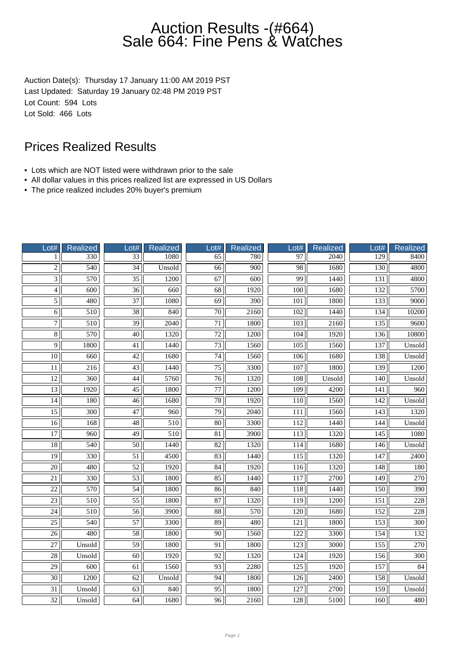Auction Date(s): Thursday 17 January 11:00 AM 2019 PST Last Updated: Saturday 19 January 02:48 PM 2019 PST Lot Count: 594 Lots Lot Sold: 466 Lots

- Lots which are NOT listed were withdrawn prior to the sale
- All dollar values in this prices realized list are expressed in US Dollars
- The price realized includes 20% buyer's premium

| Lot#            | Realized         | Lot#            | <b>Realized</b> | Lot#            | <b>Realized</b> | Lot#             | Realized         | Lot#             | Realized         |
|-----------------|------------------|-----------------|-----------------|-----------------|-----------------|------------------|------------------|------------------|------------------|
| 1               | 330              | $\overline{33}$ | 1080            | 65              | 780             | 97               | 2040             | 129              | 8400             |
| $\overline{2}$  | $\overline{540}$ | 34              | Unsold          | 66              | 900             | 98               | 1680             | 130              | 4800             |
| $\overline{3}$  | 570              | $\overline{35}$ | 1200            | 67              | 600             | 99               | 1440             | 131              | 4800             |
| $\overline{4}$  | 600              | $\overline{36}$ | 660             | 68              | 1920            | 100              | 1680             | 132              | 5700             |
| $\overline{5}$  | 480              | $\overline{37}$ | 1080            | 69              | 390             | 101              | 1800             | 133              | 9000             |
| 6               | 510              | 38              | 840             | $\overline{70}$ | 2160            | 102              | 1440             | 134              | 10200            |
| $\overline{7}$  | $\overline{510}$ | $\overline{39}$ | 2040            | $\overline{71}$ | 1800            | $\overline{103}$ | 2160             | 135              | 9600             |
| $\overline{8}$  | 570              | $\overline{40}$ | 1320            | $\overline{72}$ | 1200            | 104              | 1920             | 136              | 10800            |
| $\overline{9}$  | 1800             | $\overline{41}$ | 1440            | $\overline{73}$ | 1560            | $\overline{105}$ | 1560             | 137              | Unsold           |
| 10              | 660              | 42              | 1680            | 74              | 1560            | 106              | 1680             | 138              | Unsold           |
| 11              | 216              | 43              | 1440            | 75              | 3300            | 107              | 1800             | 139              | 1200             |
| $\overline{12}$ | $\overline{360}$ | 44              | 5760            | $\overline{76}$ | 1320            | 108              | Unsold           | $\overline{140}$ | Unsold           |
| $\overline{13}$ | 1920             | $\overline{45}$ | 1800            | 77              | 1200            | 109              | 4200             | 141              | 960              |
| 14              | 180              | $\overline{46}$ | 1680            | 78              | 1920            | 110              | 1560             | 142              | Unsold           |
| $\overline{15}$ | 300              | 47              | 960             | 79              | 2040            | 111              | 1560             | 143              | 1320             |
| $\overline{16}$ | 168              | $\overline{48}$ | 510             | $\overline{80}$ | 3300            | 112              | 1440             | 144              | Unsold           |
| $\overline{17}$ | 960              | $\overline{49}$ | 510             | $\overline{81}$ | 3900            | $\overline{113}$ | 1320             | 145              | 1080             |
| $\overline{18}$ | $\overline{540}$ | $\overline{50}$ | 1440            | $\overline{82}$ | 1320            | 114              | 1680             | 146              | Unsold           |
| $\overline{19}$ | 330              | $\overline{51}$ | 4500            | $\overline{83}$ | 1440            | $\overline{115}$ | 1320             | $\overline{147}$ | 2400             |
| $\overline{20}$ | 480              | 52              | 1920            | 84              | 1920            | 116              | 1320             | 148              | 180              |
| 21              | 330              | 53              | 1800            | 85              | 1440            | 117              | 2700             | 149              | 270              |
| $\overline{22}$ | 570              | $\overline{54}$ | 1800            | 86              | 840             | 118              | 1440             | 150              | 390              |
| $\overline{23}$ | $\overline{510}$ | $\overline{55}$ | 1800            | 87              | 1320            | $\overline{119}$ | 1200             | $\overline{151}$ | $\overline{228}$ |
| $\overline{24}$ | 510              | $\overline{56}$ | 3900            | $\overline{88}$ | 570             | 120              | 1680             | 152              | 228              |
| $\overline{25}$ | 540              | 57              | 3300            | 89              | 480             | 121              | 1800             | 153              | 300              |
| 26              | 480              | 58              | 1800            | 90              | 1560            | 122              | 3300             | 154              | 132              |
| 27              | Unsold           | $\overline{59}$ | 1800            | 91              | 1800            | 123              | 3000             | 155              | 270              |
| $\overline{28}$ | Unsold           | $\overline{60}$ | 1920            | 92              | 1320            | 124              | 1920             | 156              | $\overline{300}$ |
| $\overline{29}$ | $\overline{600}$ | 61              | 1560            | 93              | 2280            | $\overline{125}$ | 1920             | 157              | 84               |
| $\overline{30}$ | 1200             | 62              | Unsold          | 94              | 1800            | 126              | 2400             | 158              | Unsold           |
| $\overline{31}$ | Unsold           | $\overline{63}$ | 840             | $\overline{95}$ | 1800            | 127              | $\frac{1}{2700}$ | 159              | Unsold           |
| 32              | Unsold           | 64              | 1680            | 96              | 2160            | 128              | 5100             | 160              | 480              |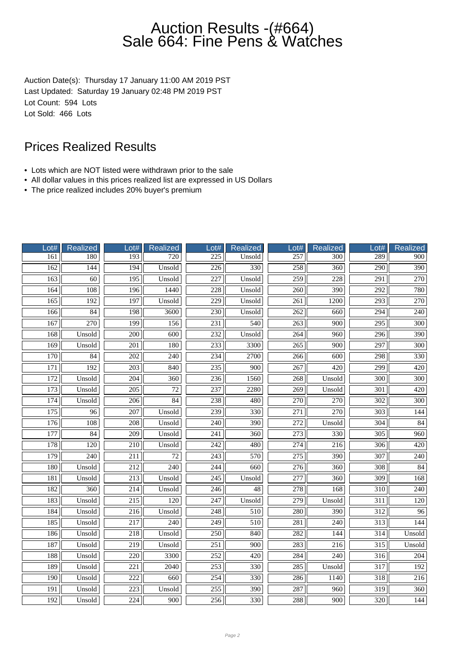Auction Date(s): Thursday 17 January 11:00 AM 2019 PST Last Updated: Saturday 19 January 02:48 PM 2019 PST Lot Count: 594 Lots Lot Sold: 466 Lots

- Lots which are NOT listed were withdrawn prior to the sale
- All dollar values in this prices realized list are expressed in US Dollars
- The price realized includes 20% buyer's premium

| Lot#             | Realized         | Lot#             | Realized        | ot#              | Realized         | $_0$ ot#         | Realized         | Lot#             | Realized         |
|------------------|------------------|------------------|-----------------|------------------|------------------|------------------|------------------|------------------|------------------|
| 161              | 180              | 193              | 720             | $\overline{225}$ | Unsold           | 257              | $\overline{300}$ | 289              | 900              |
| 162              | 144              | 194              | Unsold          | 226              | 330              | 258              | 360              | 290              | 390              |
| 163              | $\overline{60}$  | 195              | Unsold          | 227              | Unsold           | 259              | 228              | 291              | 270              |
| 164              | 108              | 196              | 1440            | 228              | Unsold           | 260              | 390              | 292              | 780              |
| $\overline{165}$ | 192              | 197              | Unsold          | 229              | Unsold           | 261              | 1200             | 293              | 270              |
| 166              | 84               | 198              | 3600            | 230              | Unsold           | 262              | 660              | $\overline{294}$ | 240              |
| 167              | $\overline{270}$ | 199              | 156             | $\overline{231}$ | $\overline{540}$ | $\overline{263}$ | $\overline{900}$ | $\overline{295}$ | $\overline{300}$ |
| 168              | Unsold           | 200              | 600             | $\overline{232}$ | Unsold           | 264              | 960              | 296              | 390              |
| 169              | Unsold           | 201              | 180             | 233              | 3300             | 265              | 900              | 297              | 300              |
| 170              | 84               | 202              | 240             | 234              | 2700             | 266              | 600              | 298              | 330              |
| 171              | 192              | 203              | 840             | 235              | 900              | 267              | 420              | 299              | 420              |
| $\overline{172}$ | Unsold           | 204              | 360             | 236              | 1560             | 268              | Unsold           | 300              | 300              |
| 173              | Unsold           | $\overline{205}$ | $\overline{72}$ | 237              | 2280             | $\overline{269}$ | Unsold           | $\overline{301}$ | 420              |
| 174              | Unsold           | 206              | 84              | 238              | 480              | 270              | 270              | $\overline{302}$ | 300              |
| $\overline{175}$ | $\overline{96}$  | 207              | Unsold          | 239              | 330              | $\overline{271}$ | 270              | 303              | 144              |
| 176              | 108              | 208              | Unsold          | 240              | 390              | 272              | Unsold           | 304              | 84               |
| 177              | $\overline{84}$  | $\overline{209}$ | Unsold          | $\overline{241}$ | $\overline{360}$ | $\overline{273}$ | 330              | $\overline{305}$ | $\overline{960}$ |
| 178              | 120              | $\overline{210}$ | Unsold          | $\overline{242}$ | 480              | 274              | 216              | $\overline{306}$ | 420              |
| 179              | 240              | $\overline{211}$ | $\overline{72}$ | $\overline{243}$ | 570              | $\overline{275}$ | 390              | 307              | 240              |
| 180              | Unsold           | 212              | 240             | 244              | 660              | 276              | 360              | 308              | 84               |
| 181              | Unsold           | 213              | Unsold          | 245              | Unsold           | 277              | 360              | 309              | 168              |
| 182              | 360              | 214              | Unsold          | 246              | 48               | 278              | 168              | 310              | $\overline{240}$ |
| 183              | Unsold           | $\overline{215}$ | 120             | $\overline{247}$ | Unsold           | $\overline{279}$ | Unsold           | $\overline{311}$ | $\overline{120}$ |
| $\overline{184}$ | Unsold           | 216              | Unsold          | 248              | 510              | 280              | 390              | $\overline{312}$ | 96               |
| 185              | Unsold           | 217              | 240             | 249              | 510              | 281              | 240              | $\overline{313}$ | 144              |
| 186              | Unsold           | 218              | Unsold          | 250              | 840              | 282              | 144              | 314              | Unsold           |
| 187              | Unsold           | 219              | Unsold          | $\overline{251}$ | 900              | 283              | 216              | 315              | Unsold           |
| 188              | Unsold           | 220              | 3300            | $\overline{252}$ | 420              | 284              | 240              | $\overline{316}$ | 204              |
| 189              | Unsold           | 221              | 2040            | $\overline{253}$ | $\overline{330}$ | $\overline{285}$ | Unsold           | $\overline{317}$ | 192              |
| 190              | Unsold           | 222              | 660             | 254              | 330              | 286              | 1140             | 318              | 216              |
| 191              | Unsold           | $\overline{223}$ | Unsold          | 255              | 390              | 287              | 960              | 319              | 360              |
| 192              | Unsold           | 224              | 900             | 256              | 330              | 288              | 900              | 320              | 144              |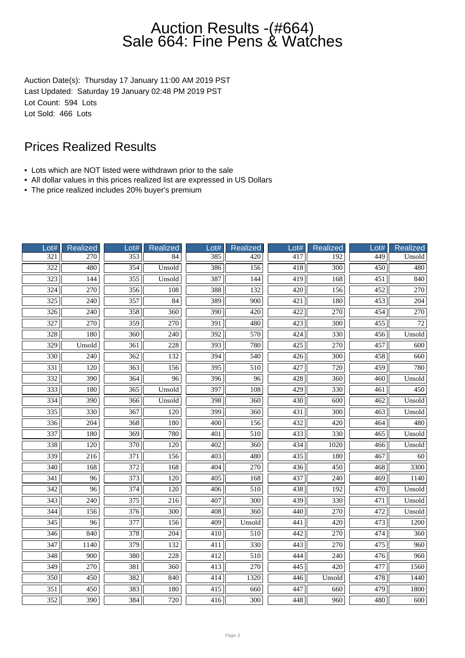Auction Date(s): Thursday 17 January 11:00 AM 2019 PST Last Updated: Saturday 19 January 02:48 PM 2019 PST Lot Count: 594 Lots Lot Sold: 466 Lots

- Lots which are NOT listed were withdrawn prior to the sale
- All dollar values in this prices realized list are expressed in US Dollars
- The price realized includes 20% buyer's premium

| Lot#             | <b>Realized</b>  | Lot#             | <b>Realized</b>  | Lot#             | Realized         | Lot#             | <b>Realized</b>  | Lot#             | Realized        |
|------------------|------------------|------------------|------------------|------------------|------------------|------------------|------------------|------------------|-----------------|
| 321              | 270              | 353              | 84               | 385              | 420              | 417              | 192              | 449              | Unsold          |
| $\overline{322}$ | 480              | 354              | Unsold           | 386              | 156              | 418              | 300              | 450              | 480             |
| $\overline{323}$ | 144              | 355              | Unsold           | 387              | 144              | 419              | 168              | $\overline{451}$ | 840             |
| 324              | 270              | 356              | 108              | 388              | 132              | 420              | 156              | 452              | 270             |
| 325              | 240              | 357              | 84               | 389              | 900              | 421              | 180              | 453              | 204             |
| 326              | 240              | 358              | 360              | 390              | 420              | 422              | 270              | 454              | 270             |
| 327              | 270              | 359              | $\overline{270}$ | $\overline{391}$ | 480              | 423              | $\overline{300}$ | $\overline{455}$ | $\overline{72}$ |
| 328              | 180              | 360              | $\overline{240}$ | 392              | 570              | 424              | 330              | 456              | Unsold          |
| 329              | Unsold           | 361              | 228              | 393              | 780              | 425              | 270              | 457              | 600             |
| 330              | 240              | 362              | 132              | 394              | 540              | 426              | 300              | 458              | 660             |
| 331              | 120              | 363              | 156              | 395              | 510              | 427              | 720              | 459              | 780             |
| $\overline{332}$ | $\overline{390}$ | 364              | $\overline{96}$  | $\overline{396}$ | $\overline{96}$  | 428              | $\overline{360}$ | $\overline{460}$ | Unsold          |
| 333              | 180              | $\overline{365}$ | Unsold           | 397              | 108              | $\overline{429}$ | 330              | 461              | 450             |
| 334              | 390              | 366              | Unsold           | 398              | 360              | 430              | 600              | 462              | Unsold          |
| 335              | 330              | 367              | 120              | 399              | 360              | 431              | 300              | 463              | Unsold          |
| 336              | 204              | 368              | 180              | 400              | 156              | 432              | 420              | 464              | 480             |
| 337              | 180              | 369              | 780              | 401              | 510              | 433              | 330              | 465              | Unsold          |
| $\frac{1}{338}$  | 120              | $\overline{370}$ | $\overline{120}$ | 402              | 360              | 434              | 1020             | 466              | Unsold          |
| 339              | 216              | 371              | 156              | 403              | 480              | 435              | 180              | 467              | 60              |
| 340              | 168              | 372              | 168              | 404              | 270              | 436              | 450              | 468              | 3300            |
| 341              | 96               | 373              | 120              | 405              | 168              | 437              | 240              | 469              | 1140            |
| $\overline{342}$ | 96               | 374              | $\overline{120}$ | 406              | $\overline{510}$ | 438              | 192              | 470              | Unsold          |
| $\overline{343}$ | 240              | 375              | 216              | 407              | 300              | 439              | 330              | 471              | Unsold          |
| $\overline{344}$ | 156              | 376              | $\overline{300}$ | 408              | $\overline{360}$ | 440              | 270              | 472              | Unsold          |
| $\overline{345}$ | 96               | 377              | 156              | 409              | Unsold           | 441              | 420              | 473              | 1200            |
| $\overline{346}$ | 840              | 378              | $\overline{204}$ | 410              | 510              | 442              | 270              | 474              | 360             |
| 347              | 1140             | 379              | 132              | 411              | 330              | 443              | 270              | 475              | 960             |
| $\overline{348}$ | 900              | 380              | $\overline{228}$ | $\overline{412}$ | 510              | 444              | 240              | 476              | 960             |
| 349              | 270              | 381              | 360              | 413              | 270              | 445              | 420              | 477              | 1560            |
| $\overline{350}$ | 450              | 382              | 840              | 414              | 1320             | 446              | Unsold           | 478              | 1440            |
| 351              | 450              | 383              | 180              | 415              | 660              | 447              | 660              | 479              | 1800            |
| 352              | 390              | 384              | 720              | 416              | 300              | 448              | 960              | 480              | 600             |